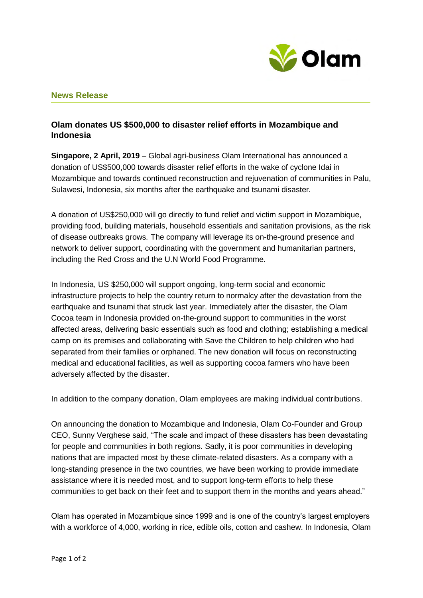

## **News Release**

## **Olam donates US \$500,000 to disaster relief efforts in Mozambique and Indonesia**

**Singapore, 2 April, 2019** – Global agri-business Olam International has announced a donation of US\$500,000 towards disaster relief efforts in the wake of cyclone Idai in Mozambique and towards continued reconstruction and rejuvenation of communities in Palu, Sulawesi, Indonesia, six months after the earthquake and tsunami disaster.

A donation of US\$250,000 will go directly to fund relief and victim support in Mozambique, providing food, building materials, household essentials and sanitation provisions, as the risk of disease outbreaks grows*.* The company will leverage its on-the-ground presence and network to deliver support, coordinating with the government and humanitarian partners, including the Red Cross and the U.N World Food Programme.

In Indonesia, US \$250,000 will support ongoing, long-term social and economic infrastructure projects to help the country return to normalcy after the devastation from the earthquake and tsunami that struck last year. Immediately after the disaster, the Olam Cocoa team in Indonesia provided on-the-ground support to communities in the worst affected areas, delivering basic essentials such as food and clothing; establishing a medical camp on its premises and collaborating with Save the Children to help children who had separated from their families or orphaned. The new donation will focus on reconstructing medical and educational facilities, as well as supporting cocoa farmers who have been adversely affected by the disaster.

In addition to the company donation, Olam employees are making individual contributions.

On announcing the donation to Mozambique and Indonesia, Olam Co-Founder and Group CEO, Sunny Verghese said, "The scale and impact of these disasters has been devastating for people and communities in both regions. Sadly, it is poor communities in developing nations that are impacted most by these climate-related disasters. As a company with a long-standing presence in the two countries, we have been working to provide immediate assistance where it is needed most, and to support long-term efforts to help these communities to get back on their feet and to support them in the months and years ahead."

Olam has operated in Mozambique since 1999 and is one of the country's largest employers with a workforce of 4,000, working in rice, edible oils, cotton and cashew. In Indonesia, Olam